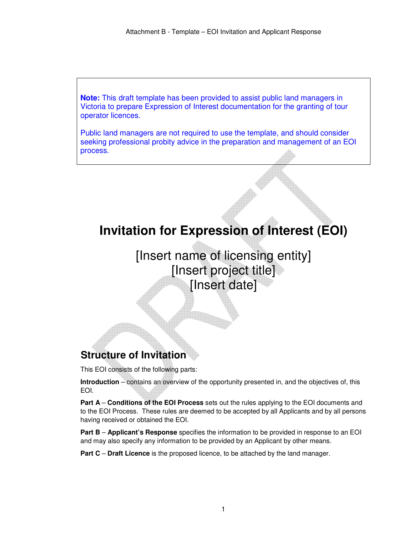**Note:** This draft template has been provided to assist public land managers in Victoria to prepare Expression of Interest documentation for the granting of tour operator licences.

Public land managers are not required to use the template, and should consider seeking professional probity advice in the preparation and management of an EOI process.

# **Invitation for Expression of Interest (EOI)**

[Insert name of licensing entity] [Insert project title] [Insert date]

# **<sup>1</sup>Structure of Invitation**

This EOI consists of the following parts:

**Introduction** – contains an overview of the opportunity presented in, and the objectives of, this EOI.

**Part A** – **Conditions of the EOI Process** sets out the rules applying to the EOI documents and to the EOI Process. These rules are deemed to be accepted by all Applicants and by all persons having received or obtained the EOI.

**Part B** – **Applicant's Response** specifies the information to be provided in response to an EOI and may also specify any information to be provided by an Applicant by other means.

**Part C** – **Draft Licence** is the proposed licence, to be attached by the land manager.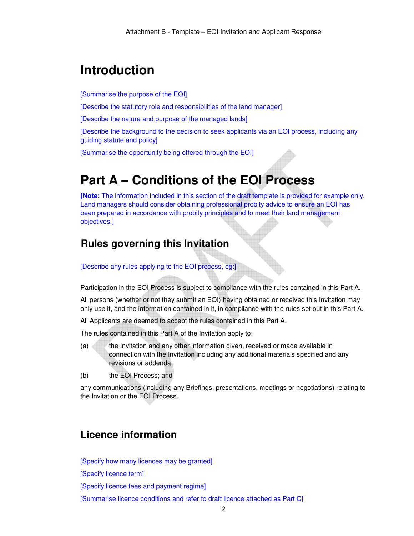# **Introduction**

[Summarise the purpose of the EOI]

[Describe the statutory role and responsibilities of the land manager]

[Describe the nature and purpose of the managed lands]

[Describe the background to the decision to seek applicants via an EOI process, including any guiding statute and policy]

[Summarise the opportunity being offered through the EOI]

# **Part A – Conditions of the EOI Process**

**[Note:** The information included in this section of the draft template is provided for example only. Land managers should consider obtaining professional probity advice to ensure an EOI has been prepared in accordance with probity principles and to meet their land management objectives.]

## **<sup>2</sup>Rules governing this Invitation**

[Describe any rules applying to the EOI process, eg:]

Participation in the EOI Process is subject to compliance with the rules contained in this Part A.

All persons (whether or not they submit an EOI) having obtained or received this Invitation may only use it, and the information contained in it, in compliance with the rules set out in this Part A.

All Applicants are deemed to accept the rules contained in this Part A.

The rules contained in this Part A of the Invitation apply to:

- (a) the Invitation and any other information given, received or made available in connection with the Invitation including any additional materials specified and any revisions or addenda;
- (b) the EOI Process; and

any communications (including any Briefings, presentations, meetings or negotiations) relating to the Invitation or the EOI Process.

### **Licence information**

[Specify how many licences may be granted]

[Specify licence term]

[Specify licence fees and payment regime]

[Summarise licence conditions and refer to draft licence attached as Part C]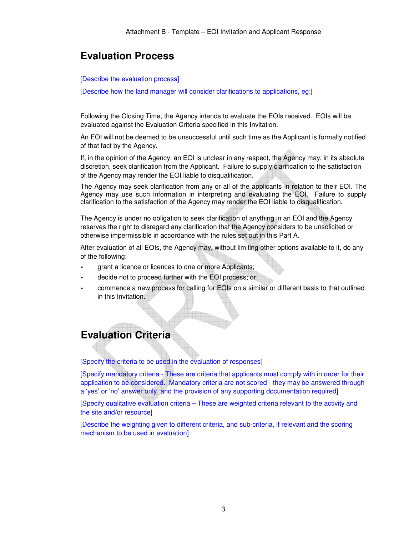### **Evaluation Process**

#### [Describe the evaluation process]

[Describe how the land manager will consider clarifications to applications, eg:]

Following the Closing Time, the Agency intends to evaluate the EOIs received. EOIs will be evaluated against the Evaluation Criteria specified in this Invitation.

An EOI will not be deemed to be unsuccessful until such time as the Applicant is formally notified of that fact by the Agency.

If, in the opinion of the Agency, an EOI is unclear in any respect, the Agency may, in its absolute discretion, seek clarification from the Applicant. Failure to supply clarification to the satisfaction of the Agency may render the EOI liable to disqualification.

The Agency may seek clarification from any or all of the applicants in relation to their EOI. The Agency may use such information in interpreting and evaluating the EOI. Failure to supply clarification to the satisfaction of the Agency may render the EOI liable to disqualification.

The Agency is under no obligation to seek clarification of anything in an EOI and the Agency reserves the right to disregard any clarification that the Agency considers to be unsolicited or otherwise impermissible in accordance with the rules set out in this Part A.

After evaluation of all EOIs, the Agency may, without limiting other options available to it, do any of the following:

- grant a licence or licences to one or more Applicants;
- decide not to proceed further with the EOI process; or
- commence a new process for calling for EOIs on a similar or different basis to that outlined in this Invitation.

#### <sup>3</sup>**Evaluation Criteria**

[Specify the criteria to be used in the evaluation of responses]

[Specify mandatory criteria - These are criteria that applicants must comply with in order for their application to be considered. Mandatory criteria are not scored - they may be answered through a 'yes' or 'no' answer only, and the provision of any supporting documentation required].

[Specify qualitative evaluation criteria – These are weighted criteria relevant to the activity and the site and/or resource]

[Describe the weighting given to different criteria, and sub-criteria, if relevant and the scoring mechanism to be used in evaluation]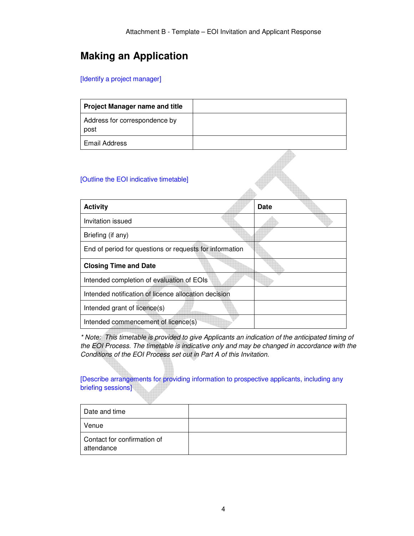# **Making an Application**

[Identify a project manager]

| <b>Project Manager name and title</b> |  |
|---------------------------------------|--|
| Address for correspondence by<br>post |  |
| Email Address                         |  |

Á

#### [Outline the EOI indicative timetable]

| <b>Activity</b>                                         | <b>Date</b> |
|---------------------------------------------------------|-------------|
| Invitation issued                                       |             |
| Briefing (if any)                                       |             |
| End of period for questions or requests for information |             |
| <b>Closing Time and Date</b>                            |             |
| Intended completion of evaluation of EOIs               |             |
| Intended notification of licence allocation decision    |             |
| Intended grant of licence(s)                            |             |
| Intended commencement of licence(s)                     |             |

*\* Note: This timetable is provided to give Applicants an indication of the anticipated timing of the EOI Process. The timetable is indicative only and may be changed in accordance with the Conditions of the EOI Process set out in Part A of this Invitation.* 

[Describe arrangements for providing information to prospective applicants, including any briefing sessions]

| Date and time                             |  |
|-------------------------------------------|--|
| Venue                                     |  |
| Contact for confirmation of<br>attendance |  |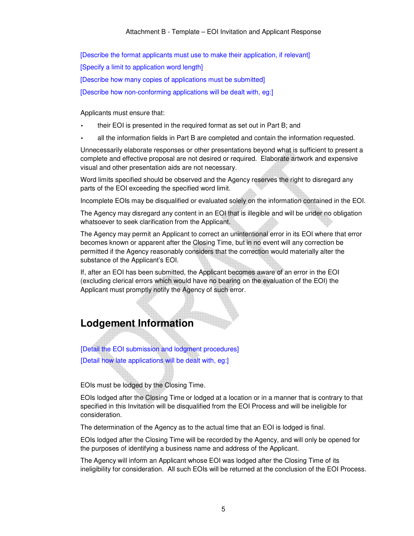[Describe the format applicants must use to make their application, if relevant] [Specify a limit to application word length] [Describe how many copies of applications must be submitted] [Describe how non-conforming applications will be dealt with, eg:]

Applicants must ensure that:

- their EOI is presented in the required format as set out in Part B; and
- all the information fields in Part B are completed and contain the information requested.

Unnecessarily elaborate responses or other presentations beyond what is sufficient to present a complete and effective proposal are not desired or required. Elaborate artwork and expensive visual and other presentation aids are not necessary.

Word limits specified should be observed and the Agency reserves the right to disregard any parts of the EOI exceeding the specified word limit.

Incomplete EOIs may be disqualified or evaluated solely on the information contained in the EOI.

The Agency may disregard any content in an EOI that is illegible and will be under no obligation whatsoever to seek clarification from the Applicant.

The Agency may permit an Applicant to correct an unintentional error in its EOI where that error becomes known or apparent after the Closing Time, but in no event will any correction be permitted if the Agency reasonably considers that the correction would materially alter the substance of the Applicant's EOI.

If, after an EOI has been submitted, the Applicant becomes aware of an error in the EOI (excluding clerical errors which would have no bearing on the evaluation of the EOI) the Applicant must promptly notify the Agency of such error.

### **Lodgement Information**

[Detail the EOI submission and lodgment procedures] [Detail how late applications will be dealt with, eg:]

EOIs must be lodged by the Closing Time.

EOIs lodged after the Closing Time or lodged at a location or in a manner that is contrary to that specified in this Invitation will be disqualified from the EOI Process and will be ineligible for consideration.

The determination of the Agency as to the actual time that an EOI is lodged is final.

EOIs lodged after the Closing Time will be recorded by the Agency, and will only be opened for the purposes of identifying a business name and address of the Applicant.

The Agency will inform an Applicant whose EOI was lodged after the Closing Time of its ineligibility for consideration. All such EOIs will be returned at the conclusion of the EOI Process.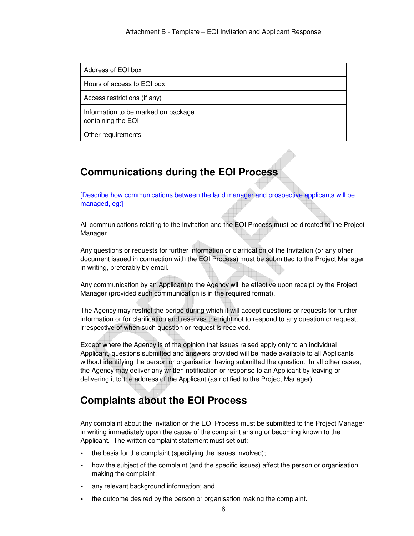| Address of EOI box                                        |  |
|-----------------------------------------------------------|--|
| Hours of access to EOI box                                |  |
| Access restrictions (if any)                              |  |
| Information to be marked on package<br>containing the EOI |  |
| Other requirements                                        |  |

# **Communications during the EOI Process**

[Describe how communications between the land manager and prospective applicants will be managed, eg:]

All communications relating to the Invitation and the EOI Process must be directed to the Project Manager.

Any questions or requests for further information or clarification of the Invitation (or any other document issued in connection with the EOI Process) must be submitted to the Project Manager in writing, preferably by email.

Any communication by an Applicant to the Agency will be effective upon receipt by the Project Manager (provided such communication is in the required format).

The Agency may restrict the period during which it will accept questions or requests for further information or for clarification and reserves the right not to respond to any question or request, irrespective of when such question or request is received.

Except where the Agency is of the opinion that issues raised apply only to an individual Applicant, questions submitted and answers provided will be made available to all Applicants without identifying the person or organisation having submitted the question. In all other cases, the Agency may deliver any written notification or response to an Applicant by leaving or delivering it to the address of the Applicant (as notified to the Project Manager).

# **Complaints about the EOI Process**

Any complaint about the Invitation or the EOI Process must be submitted to the Project Manager in writing immediately upon the cause of the complaint arising or becoming known to the Applicant. The written complaint statement must set out:

- the basis for the complaint (specifying the issues involved);
- how the subject of the complaint (and the specific issues) affect the person or organisation making the complaint;
- any relevant background information; and
- the outcome desired by the person or organisation making the complaint.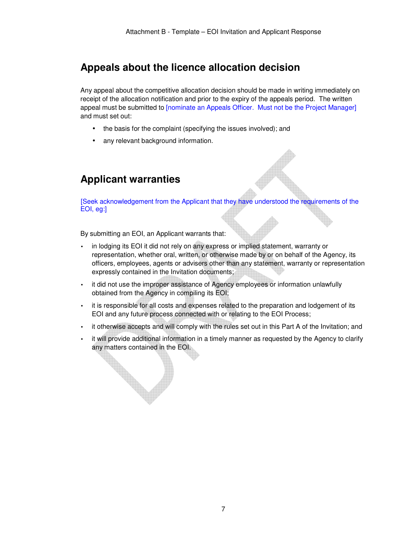## **Appeals about the licence allocation decision**

Any appeal about the competitive allocation decision should be made in writing immediately on receipt of the allocation notification and prior to the expiry of the appeals period. The written appeal must be submitted to [nominate an Appeals Officer. Must not be the Project Manager] and must set out:

- the basis for the complaint (specifying the issues involved); and
- any relevant background information.

# **Applicant warranties**

[Seek acknowledgement from the Applicant that they have understood the requirements of the EOI, eg:]

By submitting an EOI, an Applicant warrants that:

- in lodging its EOI it did not rely on any express or implied statement, warranty or representation, whether oral, written, or otherwise made by or on behalf of the Agency, its officers, employees, agents or advisers other than any statement, warranty or representation expressly contained in the Invitation documents;
- it did not use the improper assistance of Agency employees or information unlawfully obtained from the Agency in compiling its EOI;
- it is responsible for all costs and expenses related to the preparation and lodgement of its EOI and any future process connected with or relating to the EOI Process;
- it otherwise accepts and will comply with the rules set out in this Part A of the Invitation; and
- it will provide additional information in a timely manner as requested by the Agency to clarify any matters contained in the EOI.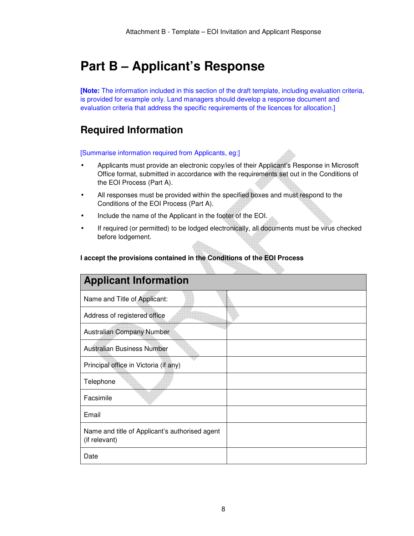# **Part B – Applicant's Response**

**[Note:** The information included in this section of the draft template, including evaluation criteria, is provided for example only. Land managers should develop a response document and evaluation criteria that address the specific requirements of the licences for allocation.]

#### **Required Information**

[Summarise information required from Applicants, eg:]

- Applicants must provide an electronic copy/ies of their Applicant's Response in Microsoft Office format, submitted in accordance with the requirements set out in the Conditions of the EOI Process (Part A).
- All responses must be provided within the specified boxes and must respond to the Conditions of the EOI Process (Part A).
- Include the name of the Applicant in the footer of the EOI.
- If required (or permitted) to be lodged electronically, all documents must be virus checked before lodgement.

#### **I accept the provisions contained in the Conditions of the EOI Process**

| <b>Applicant Information</b>                                    |  |
|-----------------------------------------------------------------|--|
| Name and Title of Applicant:                                    |  |
| Address of registered office                                    |  |
| Australian Company Number                                       |  |
| Australian Business Number                                      |  |
| Principal office in Victoria (if any)                           |  |
| Telephone                                                       |  |
| Facsimile                                                       |  |
| Email                                                           |  |
| Name and title of Applicant's authorised agent<br>(if relevant) |  |
| Date                                                            |  |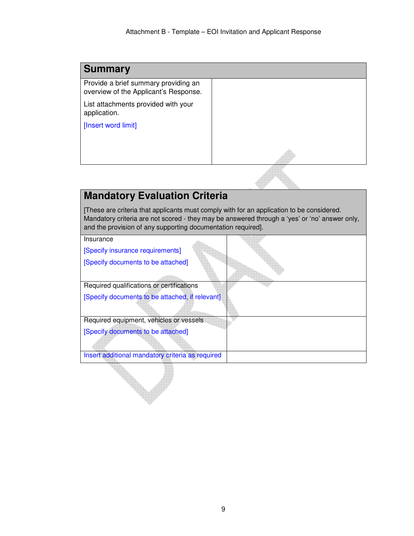| <b>Summary</b>                                                                |  |
|-------------------------------------------------------------------------------|--|
| Provide a brief summary providing an<br>overview of the Applicant's Response. |  |
| List attachments provided with your<br>application.                           |  |
| [Insert word limit]                                                           |  |
|                                                                               |  |
|                                                                               |  |
|                                                                               |  |

# **Mandatory Evaluation Criteria**

[These are criteria that applicants must comply with for an application to be considered. Mandatory criteria are not scored - they may be answered through a 'yes' or 'no' answer only, and the provision of any supporting documentation required].

| Insurance                                        |  |
|--------------------------------------------------|--|
| [Specify insurance requirements]                 |  |
| [Specify documents to be attached]               |  |
|                                                  |  |
| Required qualifications or certifications        |  |
| [Specify documents to be attached, if relevant]  |  |
|                                                  |  |
| Required equipment, vehicles or vessels          |  |
| [Specify documents to be attached]               |  |
|                                                  |  |
| Insert additional mandatory criteria as required |  |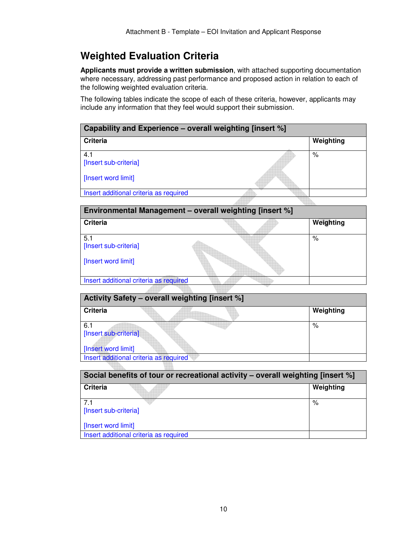# **Weighted Evaluation Criteria**

**Applicants must provide a written submission**, with attached supporting documentation where necessary, addressing past performance and proposed action in relation to each of the following weighted evaluation criteria.

The following tables indicate the scope of each of these criteria, however, applicants may include any information that they feel would support their submission.

| Capability and Experience – overall weighting [insert %] |  |           |
|----------------------------------------------------------|--|-----------|
| Criteria                                                 |  | Weighting |
| 4.1<br>[Insert sub-criteria]                             |  | %         |
| [Insert word limit]                                      |  |           |
| Insert additional criteria as required                   |  |           |

| Environmental Management - overall weighting [insert %] |  |           |
|---------------------------------------------------------|--|-----------|
| <b>Criteria</b>                                         |  | Weighting |
| 5.1<br>[Insert sub-criteria]                            |  | %         |
| [Insert word limit]                                     |  |           |
| Insert additional criteria as required                  |  |           |
|                                                         |  |           |

| Activity Safety – overall weighting [insert %] |           |  |
|------------------------------------------------|-----------|--|
| Criteria                                       | Weighting |  |
| 6.1                                            | ℅         |  |
| [Insert sub-criteria]                          |           |  |
|                                                |           |  |
| [Insert word limit]                            |           |  |
| Insert additional criteria as required         |           |  |
|                                                |           |  |

| Social benefits of tour or recreational activity – overall weighting [insert %] |           |  |
|---------------------------------------------------------------------------------|-----------|--|
| Criteria                                                                        | Weighting |  |
| 71<br>[Insert sub-criteria]                                                     | %         |  |
| [Insert word limit]                                                             |           |  |
| Insert additional criteria as required                                          |           |  |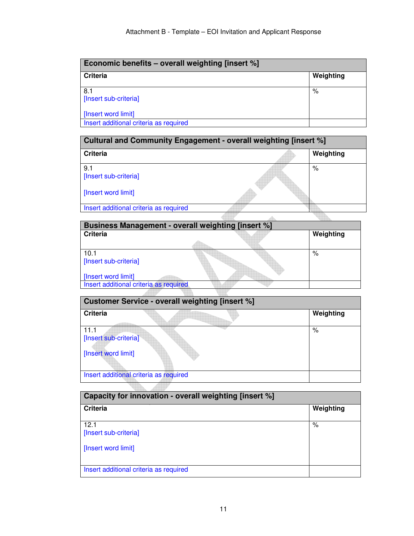| Economic benefits – overall weighting [insert %] |           |  |
|--------------------------------------------------|-----------|--|
| <b>Criteria</b>                                  | Weighting |  |
| 8.1<br>[Insert sub-criteria]                     | %         |  |
| [Insert word limit]                              |           |  |
| Insert additional criteria as required           |           |  |

| Cultural and Community Engagement - overall weighting [insert %] |  |           |
|------------------------------------------------------------------|--|-----------|
| <b>Criteria</b>                                                  |  | Weighting |
| 9.1<br>[Insert sub-criteria]                                     |  | %         |
| [Insert word limit]                                              |  |           |
| Insert additional criteria as required                           |  |           |
|                                                                  |  |           |

| Business Management - overall weighting [insert %] |  |           |
|----------------------------------------------------|--|-----------|
| <b>Criteria</b>                                    |  | Weighting |
|                                                    |  |           |
| 10.1                                               |  | %         |
| [Insert sub-criteria]                              |  |           |
|                                                    |  |           |
| [Insert word limit]                                |  |           |
| Insert additional criteria as required             |  |           |
|                                                    |  |           |

| <b>Customer Service - overall weighting [insert %]</b> |           |  |
|--------------------------------------------------------|-----------|--|
| <b>Criteria</b>                                        | Weighting |  |
| 11.1<br>[Insert sub-criteria]                          | $\%$      |  |
| [Insert word limit]                                    |           |  |
| Insert additional criteria as required                 |           |  |
|                                                        |           |  |

| Capacity for innovation - overall weighting [insert %] |           |  |
|--------------------------------------------------------|-----------|--|
| <b>Criteria</b>                                        | Weighting |  |
| 12.1<br>[Insert sub-criteria]                          | %         |  |
| [Insert word limit]                                    |           |  |
| Insert additional criteria as required                 |           |  |